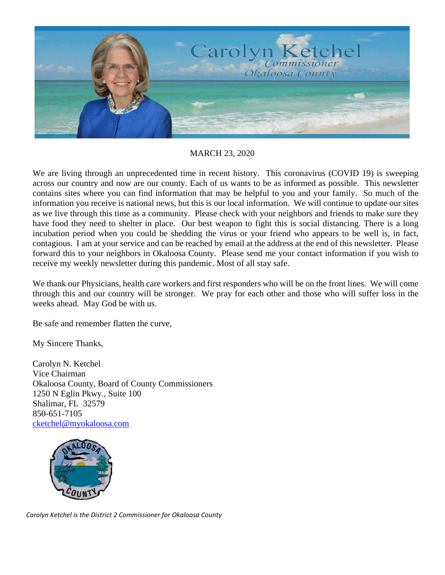

MARCH 23, 2020

We are living through an unprecedented time in recent history. This coronavirus (COVID 19) is sweeping across our country and now are our county. Each of us wants to be as informed as possible. This newsletter contains sites where you can find information that may be helpful to you and your family. So much of the information you receive is national news, but this is our local information. We will continue to update our sites as we live through this time as a community. Please check with your neighbors and friends to make sure they have food they need to shelter in place. Our best weapon to fight this is social distancing. There is a long incubation period when you could be shedding the virus or your friend who appears to be well is, in fact, contagious. I am at your service and can be reached by email at the address at the end of this newsletter. Please forward this to your neighbors in Okaloosa County. Please send me your contact information if you wish to receive my weekly newsletter during this pandemic. Most of all stay safe.

We thank our Physicians, health care workers and first responders who will be on the front lines. We will come through this and our country will be stronger. We pray for each other and those who will suffer loss in the weeks ahead. May God be with us.

Be safe and remember flatten the curve,

My Sincere Thanks,

Carolyn N. Ketchel Vice Chairman Okaloosa County, Board of County Commissioners 1250 N Eglin Pkwy., Suite 100 Shalimar, FL 32579 850-651-7105 cketchel@myokaloosa.com



*Carolyn Ketchel is the District 2 Commissioner for Okaloosa County*